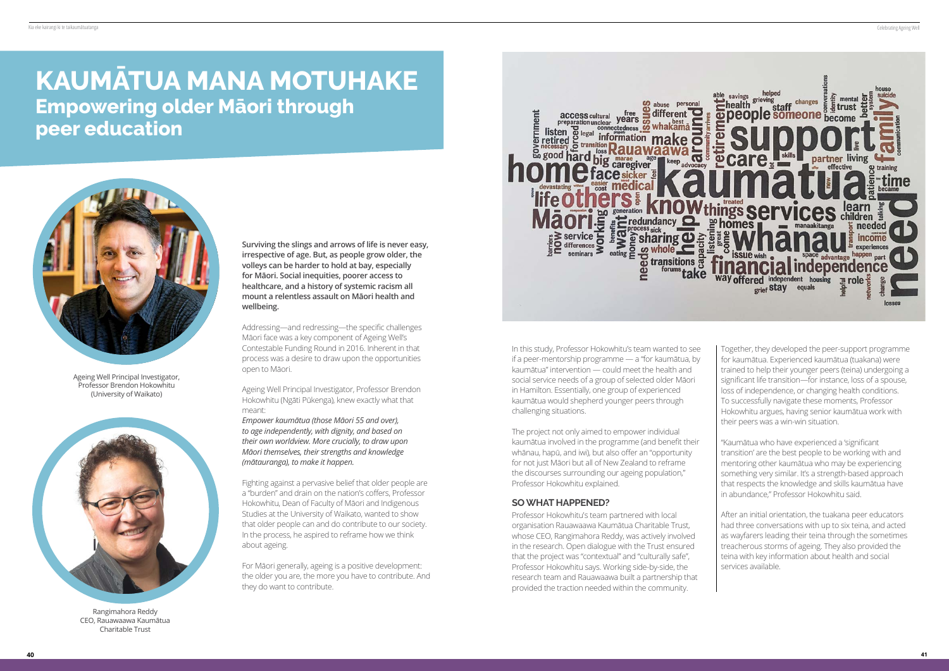Ageing Well Principal Investigator, Professor Brendon Hokowhitu (University of Waikato)

**Surviving the slings and arrows of life is never easy, irrespective of age. But, as people grow older, the volleys can be harder to hold at bay, especially for Māori. Social inequities, poorer access to healthcare, and a history of systemic racism all mount a relentless assault on Māori health and wellbeing.**

Addressing—and redressing—the specific challenges Māori face was a key component of Ageing Well's Contestable Funding Round in 2016. Inherent in that process was a desire to draw upon the opportunities open to Māori.

Ageing Well Principal Investigator, Professor Brendon Hokowhitu (Ngāti Pūkenga), knew exactly what that meant:

*Empower kaumātua (those Māori 55 and over), to age independently, with dignity, and based on their own worldview. More crucially, to draw upon Māori themselves, their strengths and knowledge (mātauranga), to make it happen.*

Fighting against a pervasive belief that older people are a "burden" and drain on the nation's coffers, Professor Hokowhitu, Dean of Faculty of Māori and Indigenous Studies at the University of Waikato, wanted to show that older people can and do contribute to our society. In the process, he aspired to reframe how we think about ageing.

For Māori generally, ageing is a positive development: the older you are, the more you have to contribute. And they do want to contribute.



# **KAUMĀTUA MANA MOTUHAKE Empowering older Māori through peer education**





Rangimahora Reddy CEO, Rauawaawa Kaumātua Charitable Trust

In this study, Professor Hokowhitu's team wanted to see if a peer-mentorship programme — a "for kaumātua, by kaumātua" intervention — could meet the health and social service needs of a group of selected older Māori in Hamilton. Essentially, one group of experienced kaumātua would shepherd younger peers through challenging situations.

The project not only aimed to empower individual kaumātua involved in the programme (and benefit their whānau, hapū, and iwi), but also offer an "opportunity for not just Māori but all of New Zealand to reframe the discourses surrounding our ageing population," Professor Hokowhitu explained.

#### **SO WHAT HAPPENED?**

Professor Hokowhitu's team partnered with local organisation Rauawaawa Kaumātua Charitable Trust, whose CEO, Rangimahora Reddy, was actively involved in the research. Open dialogue with the Trust ensured that the project was "contextual" and "culturally safe", Professor Hokowhitu says. Working side-by-side, the research team and Rauawaawa built a partnership that provided the traction needed within the community.

Together, they developed the peer-support programme for kaumātua. Experienced kaumātua (tuakana) were trained to help their younger peers (teina) undergoing a significant life transition—for instance, loss of a spouse, loss of independence, or changing health conditions. To successfully navigate these moments, Professor Hokowhitu argues, having senior kaumātua work with their peers was a win-win situation.

"Kaumātua who have experienced a 'significant transition' are the best people to be working with and mentoring other kaumātua who may be experiencing something very similar. It's a strength-based approach that respects the knowledge and skills kaumātua have in abundance," Professor Hokowhitu said.

After an initial orientation, the tuakana peer educators had three conversations with up to six teina, and acted as wayfarers leading their teina through the sometimes treacherous storms of ageing. They also provided the teina with key information about health and social services available.